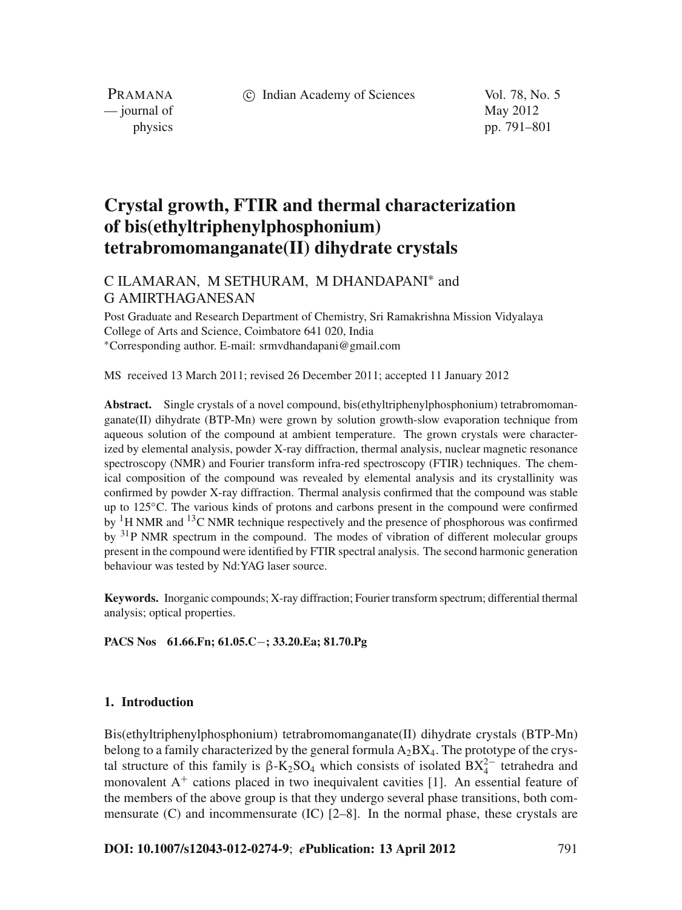c Indian Academy of Sciences Vol. 78, No. 5

PRAMANA  $\frac{1}{2}$  journal of May 2012

physics pp. 791–801

# **Crystal growth, FTIR and thermal characterization of bis(ethyltriphenylphosphonium) tetrabromomanganate(II) dihydrate crystals**

# C ILAMARAN, M SETHURAM, M DHANDAPANI<sup>∗</sup> and G AMIRTHAGANESAN

Post Graduate and Research Department of Chemistry, Sri Ramakrishna Mission Vidyalaya College of Arts and Science, Coimbatore 641 020, India <sup>∗</sup>Corresponding author. E-mail: srmvdhandapani@gmail.com

MS received 13 March 2011; revised 26 December 2011; accepted 11 January 2012

Abstract. Single crystals of a novel compound, bis(ethyltriphenylphosphonium) tetrabromomanganate(II) dihydrate (BTP-Mn) were grown by solution growth-slow evaporation technique from aqueous solution of the compound at ambient temperature. The grown crystals were characterized by elemental analysis, powder X-ray diffraction, thermal analysis, nuclear magnetic resonance spectroscopy (NMR) and Fourier transform infra-red spectroscopy (FTIR) techniques. The chemical composition of the compound was revealed by elemental analysis and its crystallinity was confirmed by powder X-ray diffraction. Thermal analysis confirmed that the compound was stable up to 125◦C. The various kinds of protons and carbons present in the compound were confirmed by <sup>1</sup>H NMR and <sup>13</sup>C NMR technique respectively and the presence of phosphorous was confirmed by <sup>31</sup>P NMR spectrum in the compound. The modes of vibration of different molecular groups present in the compound were identified by FTIR spectral analysis. The second harmonic generation behaviour was tested by Nd:YAG laser source.

**Keywords.** Inorganic compounds; X-ray diffraction; Fourier transform spectrum; differential thermal analysis; optical properties.

**PACS Nos 61.66.Fn; 61.05.C**−**; 33.20.Ea; 81.70.Pg**

# **1. Introduction**

Bis(ethyltriphenylphosphonium) tetrabromomanganate(II) dihydrate crystals (BTP-Mn) belong to a family characterized by the general formula  $A_2BX_4$ . The prototype of the crystal structure of this family is  $\beta$ -K<sub>2</sub>SO<sub>4</sub> which consists of isolated BX<sup>2</sup><sup>-</sup> tetrahedra and monovalent  $A<sup>+</sup>$  cations placed in two inequivalent cavities [1]. An essential feature of the members of the above group is that they undergo several phase transitions, both commensurate  $(C)$  and incommensurate  $(IC)$   $[2-8]$ . In the normal phase, these crystals are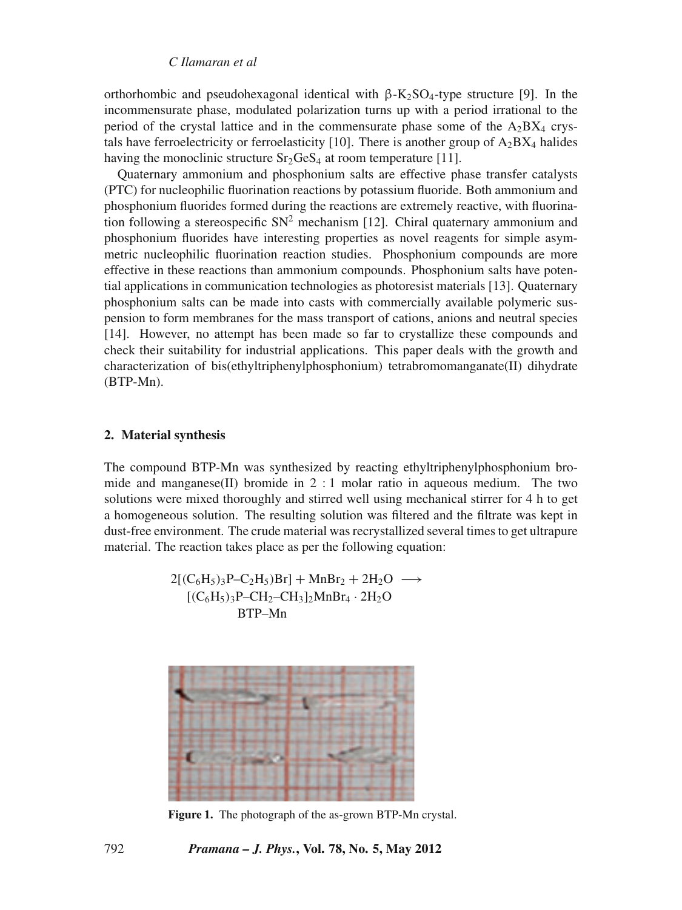orthorhombic and pseudohexagonal identical with  $\beta$ -K<sub>2</sub>SO<sub>4</sub>-type structure [9]. In the incommensurate phase, modulated polarization turns up with a period irrational to the period of the crystal lattice and in the commensurate phase some of the  $A_2BX_4$  crystals have ferroelectricity or ferroelasticity [10]. There is another group of  $A_2BX_4$  halides having the monoclinic structure  $Sr<sub>2</sub>GeS<sub>4</sub>$  at room temperature [11].

Quaternary ammonium and phosphonium salts are effective phase transfer catalysts (PTC) for nucleophilic fluorination reactions by potassium fluoride. Both ammonium and phosphonium fluorides formed during the reactions are extremely reactive, with fluorination following a stereospecific  $SN^2$  mechanism [12]. Chiral quaternary ammonium and phosphonium fluorides have interesting properties as novel reagents for simple asymmetric nucleophilic fluorination reaction studies. Phosphonium compounds are more effective in these reactions than ammonium compounds. Phosphonium salts have potential applications in communication technologies as photoresist materials [13]. Quaternary phosphonium salts can be made into casts with commercially available polymeric suspension to form membranes for the mass transport of cations, anions and neutral species [14]. However, no attempt has been made so far to crystallize these compounds and check their suitability for industrial applications. This paper deals with the growth and characterization of bis(ethyltriphenylphosphonium) tetrabromomanganate(II) dihydrate (BTP-Mn).

### **2. Material synthesis**

The compound BTP-Mn was synthesized by reacting ethyltriphenylphosphonium bromide and manganese(II) bromide in  $2:1$  molar ratio in aqueous medium. The two solutions were mixed thoroughly and stirred well using mechanical stirrer for 4 h to get a homogeneous solution. The resulting solution was filtered and the filtrate was kept in dust-free environment. The crude material was recrystallized several times to get ultrapure material. The reaction takes place as per the following equation:

$$
2[(C_6H_5)_3P-C_2H_5)Br] + MnBr_2 + 2H_2O \longrightarrow [(C_6H_5)_3P-CH_2-CH_3]_2MnBr_4 \cdot 2H_2O
$$
  
BTP-Mn



**Figure 1.** The photograph of the as-grown BTP-Mn crystal.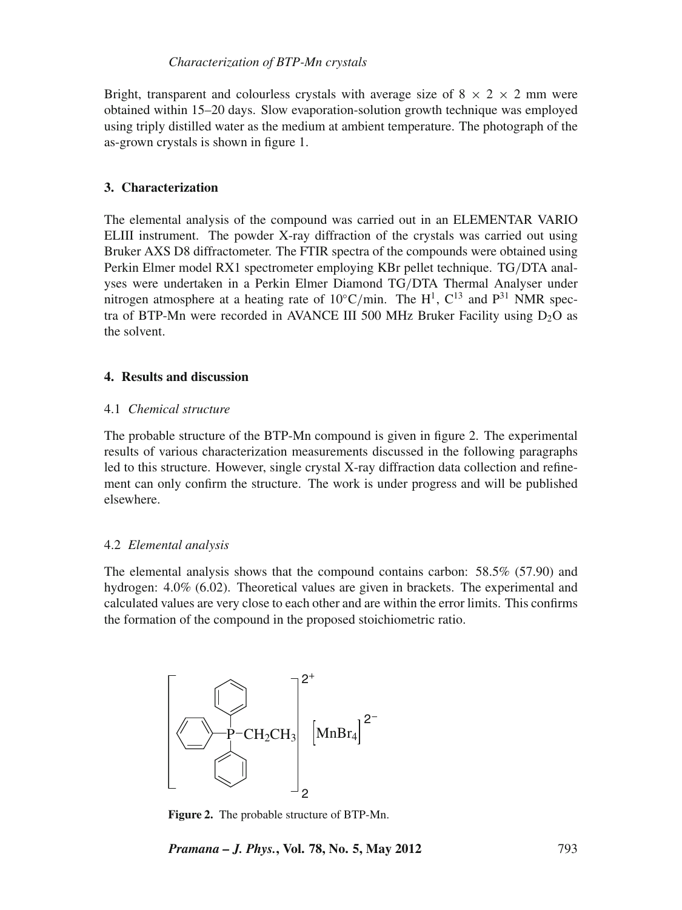Bright, transparent and colourless crystals with average size of  $8 \times 2 \times 2$  mm were obtained within 15–20 days. Slow evaporation-solution growth technique was employed using triply distilled water as the medium at ambient temperature. The photograph of the as-grown crystals is shown in figure 1.

# **3. Characterization**

The elemental analysis of the compound was carried out in an ELEMENTAR VARIO ELIII instrument. The powder X-ray diffraction of the crystals was carried out using Bruker AXS D8 diffractometer. The FTIR spectra of the compounds were obtained using Perkin Elmer model RX1 spectrometer employing KBr pellet technique. TG/DTA analyses were undertaken in a Perkin Elmer Diamond TG/DTA Thermal Analyser under nitrogen atmosphere at a heating rate of 10°C/min. The  $H^1$ , C<sup>13</sup> and P<sup>31</sup> NMR spectra of BTP-Mn were recorded in AVANCE III 500 MHz Bruker Facility using  $D_2O$  as the solvent.

# **4. Results and discussion**

# 4.1 *Chemical structure*

The probable structure of the BTP-Mn compound is given in figure 2. The experimental results of various characterization measurements discussed in the following paragraphs led to this structure. However, single crystal X-ray diffraction data collection and refinement can only confirm the structure. The work is under progress and will be published elsewhere.

# 4.2 *Elemental analysis*

The elemental analysis shows that the compound contains carbon: 58.5% (57.90) and hydrogen: 4.0% (6.02). Theoretical values are given in brackets. The experimental and calculated values are very close to each other and are within the error limits. This confirms the formation of the compound in the proposed stoichiometric ratio.



**Figure 2.** The probable structure of BTP-Mn.

*Pramana – J. Phys.***, Vol. 78, No. 5, May 2012** 793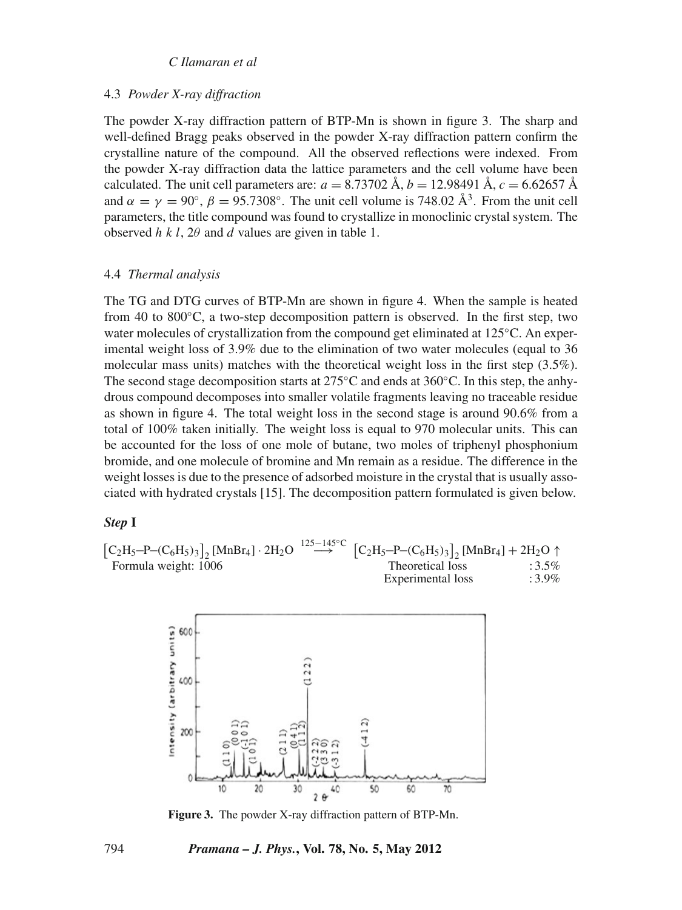# 4.3 *Powder X-ray diffraction*

The powder X-ray diffraction pattern of BTP-Mn is shown in figure 3. The sharp and well-defined Bragg peaks observed in the powder X-ray diffraction pattern confirm the crystalline nature of the compound. All the observed reflections were indexed. From the powder X-ray diffraction data the lattice parameters and the cell volume have been calculated. The unit cell parameters are:  $a = 8.73702 \text{ Å}, b = 12.98491 \text{ Å}, c = 6.62657 \text{ Å}$ and  $\alpha = \gamma = 90^{\circ}$ ,  $\beta = 95.7308^{\circ}$ . The unit cell volume is 748.02 Å<sup>3</sup>. From the unit cell parameters, the title compound was found to crystallize in monoclinic crystal system. The observed *hkl*, 2θ and *d* values are given in table 1.

#### 4.4 *Thermal analysis*

The TG and DTG curves of BTP-Mn are shown in figure 4. When the sample is heated from 40 to 800 $^{\circ}$ C, a two-step decomposition pattern is observed. In the first step, two water molecules of crystallization from the compound get eliminated at 125<sup>°</sup>C. An experimental weight loss of 3.9% due to the elimination of two water molecules (equal to 36 molecular mass units) matches with the theoretical weight loss in the first step (3.5%). The second stage decomposition starts at  $275^{\circ}$ C and ends at  $360^{\circ}$ C. In this step, the anhydrous compound decomposes into smaller volatile fragments leaving no traceable residue as shown in figure 4. The total weight loss in the second stage is around 90.6% from a total of 100% taken initially. The weight loss is equal to 970 molecular units. This can be accounted for the loss of one mole of butane, two moles of triphenyl phosphonium bromide, and one molecule of bromine and Mn remain as a residue. The difference in the weight losses is due to the presence of adsorbed moisture in the crystal that is usually associated with hydrated crystals [15]. The decomposition pattern formulated is given below.

#### *Step* **I**

|                      | $[C_2H_5-P-(C_6H_5)_3]$ , [MnBr <sub>4</sub> ] · 2H <sub>2</sub> O $\stackrel{125-145^{\circ}C}{\longrightarrow}$ $[C_2H_5-P-(C_6H_5)_3]$ , [MnBr <sub>4</sub> ] + 2H <sub>2</sub> O $\uparrow$ |          |
|----------------------|-------------------------------------------------------------------------------------------------------------------------------------------------------------------------------------------------|----------|
| Formula weight: 1006 | Theoretical loss                                                                                                                                                                                | $:3.5\%$ |
|                      | Experimental loss                                                                                                                                                                               | $:3.9\%$ |



**Figure 3.** The powder X-ray diffraction pattern of BTP-Mn.

#### 794 *Pramana – J. Phys.***, Vol. 78, No. 5, May 2012**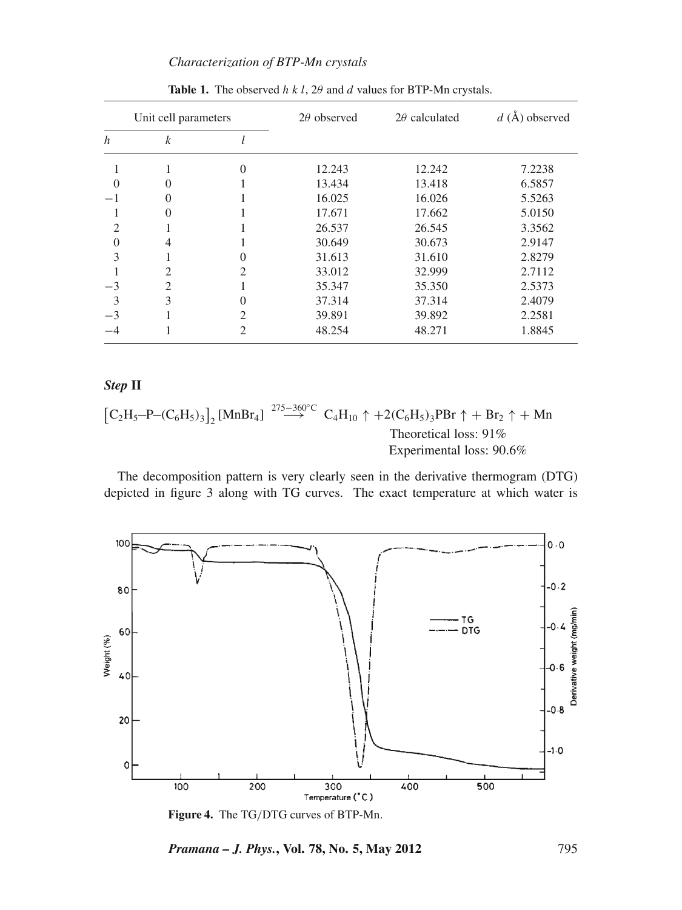# *Characterization of BTP-Mn crystals*

| Unit cell parameters        |                  | $2\theta$ observed | $2\theta$ calculated | $d(A)$ observed |        |
|-----------------------------|------------------|--------------------|----------------------|-----------------|--------|
| $\boldsymbol{h}$            | $\boldsymbol{k}$ |                    |                      |                 |        |
|                             |                  | 0                  | 12.243               | 12.242          | 7.2238 |
| $\theta$                    | $\Omega$         |                    | 13.434               | 13.418          | 6.5857 |
| $-1$                        | $\Omega$         |                    | 16.025               | 16.026          | 5.5263 |
|                             | $\Omega$         |                    | 17.671               | 17.662          | 5.0150 |
| $\mathcal{D}_{\mathcal{L}}$ |                  |                    | 26.537               | 26.545          | 3.3562 |
| $\theta$                    | 4                |                    | 30.649               | 30.673          | 2.9147 |
| 3                           |                  |                    | 31.613               | 31.610          | 2.8279 |
|                             | $\overline{2}$   | 2                  | 33.012               | 32.999          | 2.7112 |
| $-3$                        | $\overline{c}$   |                    | 35.347               | 35.350          | 2.5373 |
| 3                           | 3                | 0                  | 37.314               | 37.314          | 2.4079 |
| $-3$                        |                  | 2                  | 39.891               | 39.892          | 2.2581 |
|                             |                  | 2                  | 48.254               | 48.271          | 1.8845 |

**Table 1.** The observed *h k l, 2θ* and *d* values for BTP-Mn crystals.

# *Step* **II**

$$
[C_2H_5-P-(C_6H_5)_3]_2 [MnBr_4] \xrightarrow{275-360^{\circ}C} C_4H_{10} \uparrow +2(C_6H_5)_3PBr \uparrow + Br_2 \uparrow + Mn
$$
  
Theoretical loss: 91%  
Experimental loss: 90.6%

The decomposition pattern is very clearly seen in the derivative thermogram (DTG) depicted in figure 3 along with TG curves. The exact temperature at which water is



**Figure 4.** The TG/DTG curves of BTP-Mn.

*Pramana – J. Phys.***, Vol. 78, No. 5, May 2012** 795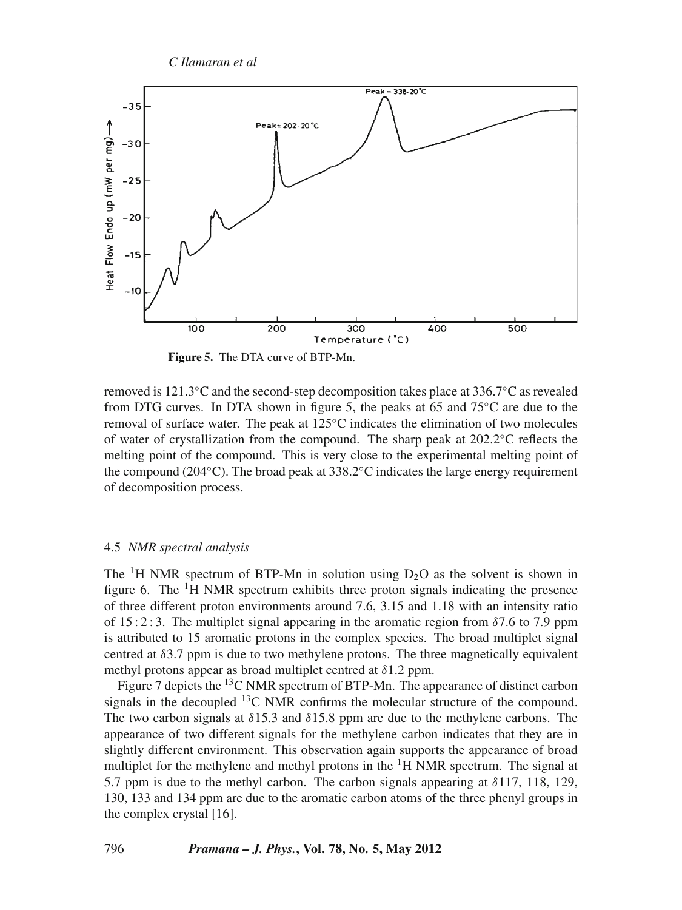

**Figure 5.** The DTA curve of BTP-Mn.

removed is 121.3◦C and the second-step decomposition takes place at 336.7◦C as revealed from DTG curves. In DTA shown in figure 5, the peaks at 65 and  $75°C$  are due to the removal of surface water. The peak at 125◦C indicates the elimination of two molecules of water of crystallization from the compound. The sharp peak at 202.2◦C reflects the melting point of the compound. This is very close to the experimental melting point of the compound (204 $°C$ ). The broad peak at 338.2 $°C$  indicates the large energy requirement of decomposition process.

### 4.5 *NMR spectral analysis*

The <sup>1</sup>H NMR spectrum of BTP-Mn in solution using  $D_2O$  as the solvent is shown in figure 6. The  ${}^{1}H$  NMR spectrum exhibits three proton signals indicating the presence of three different proton environments around 7.6, 3.15 and 1.18 with an intensity ratio of 15:2:3. The multiplet signal appearing in the aromatic region from  $\delta$ 7.6 to 7.9 ppm is attributed to 15 aromatic protons in the complex species. The broad multiplet signal centred at  $\delta$ 3.7 ppm is due to two methylene protons. The three magnetically equivalent methyl protons appear as broad multiplet centred at  $\delta$ 1.2 ppm.

Figure 7 depicts the <sup>13</sup>C NMR spectrum of BTP-Mn. The appearance of distinct carbon signals in the decoupled  $^{13}$ C NMR confirms the molecular structure of the compound. The two carbon signals at  $\delta$ 15.3 and  $\delta$ 15.8 ppm are due to the methylene carbons. The appearance of two different signals for the methylene carbon indicates that they are in slightly different environment. This observation again supports the appearance of broad multiplet for the methylene and methyl protons in the  ${}^{1}H$  NMR spectrum. The signal at 5.7 ppm is due to the methyl carbon. The carbon signals appearing at  $\delta$ 117, 118, 129, 130, 133 and 134 ppm are due to the aromatic carbon atoms of the three phenyl groups in the complex crystal [16].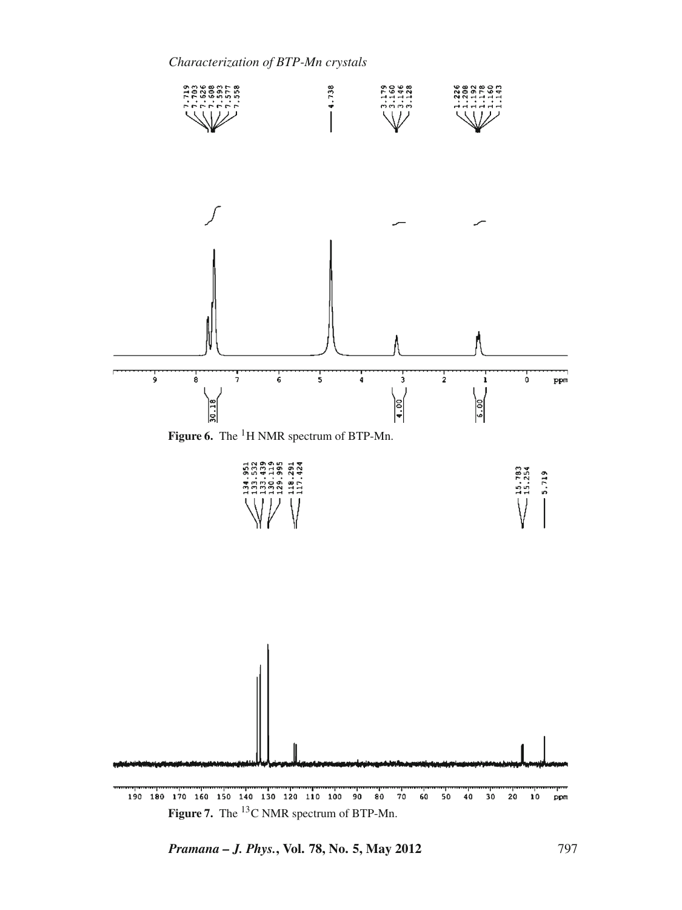



Figure 7. The <sup>13</sup>C NMR spectrum of BTP-Mn.

*Pramana – J. Phys.***, Vol. 78, No. 5, May 2012** 797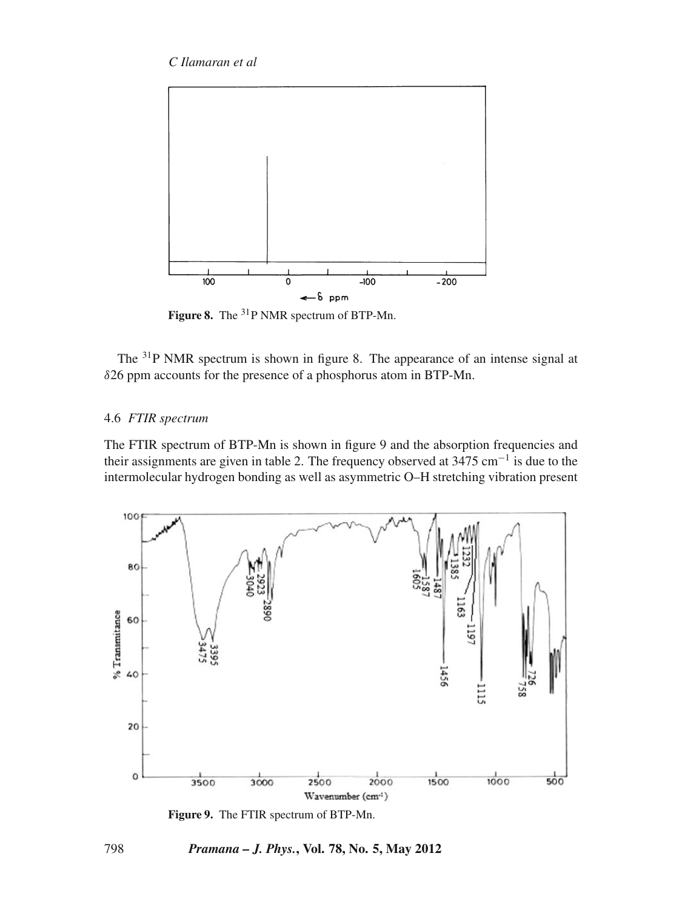

Figure 8. The <sup>31</sup>P NMR spectrum of BTP-Mn.

The 31P NMR spectrum is shown in figure 8. The appearance of an intense signal at δ26 ppm accounts for the presence of a phosphorus atom in BTP-Mn.

# 4.6 *FTIR spectrum*

The FTIR spectrum of BTP-Mn is shown in figure 9 and the absorption frequencies and their assignments are given in table 2. The frequency observed at  $3475 \text{ cm}^{-1}$  is due to the intermolecular hydrogen bonding as well as asymmetric O–H stretching vibration present



**Figure 9.** The FTIR spectrum of BTP-Mn.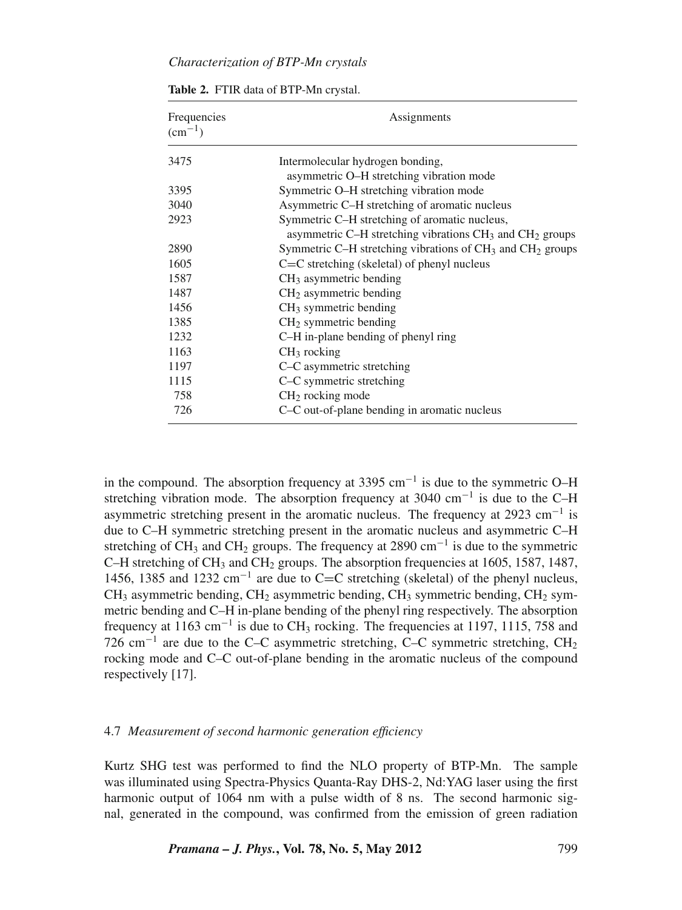| Frequencies<br>$\rm (cm^{-1})$ | Assignments                                                                       |  |  |
|--------------------------------|-----------------------------------------------------------------------------------|--|--|
| 3475                           | Intermolecular hydrogen bonding,                                                  |  |  |
|                                | asymmetric O–H stretching vibration mode                                          |  |  |
| 3395                           | Symmetric O-H stretching vibration mode                                           |  |  |
| 3040                           | Asymmetric C-H stretching of aromatic nucleus                                     |  |  |
| 2923                           | Symmetric C-H stretching of aromatic nucleus,                                     |  |  |
|                                | asymmetric C-H stretching vibrations CH <sub>3</sub> and CH <sub>2</sub> groups   |  |  |
| 2890                           | Symmetric C-H stretching vibrations of CH <sub>3</sub> and CH <sub>2</sub> groups |  |  |
| 1605                           | $C=C$ stretching (skeletal) of phenyl nucleus                                     |  |  |
| 1587                           | $CH3$ asymmetric bending                                                          |  |  |
| 1487                           | $CH2$ asymmetric bending                                                          |  |  |
| 1456                           | $CH3$ symmetric bending                                                           |  |  |
| 1385                           | $CH2$ symmetric bending                                                           |  |  |
| 1232                           | C-H in-plane bending of phenyl ring                                               |  |  |
| 1163                           | $CH3$ rocking                                                                     |  |  |
| 1197                           | C-C asymmetric stretching                                                         |  |  |
| 1115                           | C-C symmetric stretching                                                          |  |  |
| 758                            | $CH2$ rocking mode                                                                |  |  |
| 726                            | C–C out-of-plane bending in aromatic nucleus                                      |  |  |

**Table 2.** FTIR data of BTP-Mn crystal.

in the compound. The absorption frequency at  $3395 \text{ cm}^{-1}$  is due to the symmetric O–H stretching vibration mode. The absorption frequency at 3040 cm<sup>-1</sup> is due to the C–H asymmetric stretching present in the aromatic nucleus. The frequency at 2923 cm<sup>-1</sup> is due to C–H symmetric stretching present in the aromatic nucleus and asymmetric C–H stretching of CH<sub>3</sub> and CH<sub>2</sub> groups. The frequency at 2890 cm<sup>-1</sup> is due to the symmetric C–H stretching of CH<sub>3</sub> and CH<sub>2</sub> groups. The absorption frequencies at 1605, 1587, 1487, 1456, 1385 and 1232 cm<sup>−</sup><sup>1</sup> are due to C=C stretching (skeletal) of the phenyl nucleus,  $CH_3$  asymmetric bending,  $CH_2$  asymmetric bending,  $CH_3$  symmetric bending,  $CH_2$  symmetric bending and C–H in-plane bending of the phenyl ring respectively. The absorption frequency at 1163 cm<sup>-1</sup> is due to CH<sub>3</sub> rocking. The frequencies at 1197, 1115, 758 and 726 cm<sup>-1</sup> are due to the C–C asymmetric stretching, C–C symmetric stretching, CH<sub>2</sub> rocking mode and C–C out-of-plane bending in the aromatic nucleus of the compound respectively [17].

# 4.7 *Measurement of second harmonic generation efficiency*

Kurtz SHG test was performed to find the NLO property of BTP-Mn. The sample was illuminated using Spectra-Physics Quanta-Ray DHS-2, Nd:YAG laser using the first harmonic output of 1064 nm with a pulse width of 8 ns. The second harmonic signal, generated in the compound, was confirmed from the emission of green radiation

*Pramana – J. Phys.***, Vol. 78, No. 5, May 2012** 799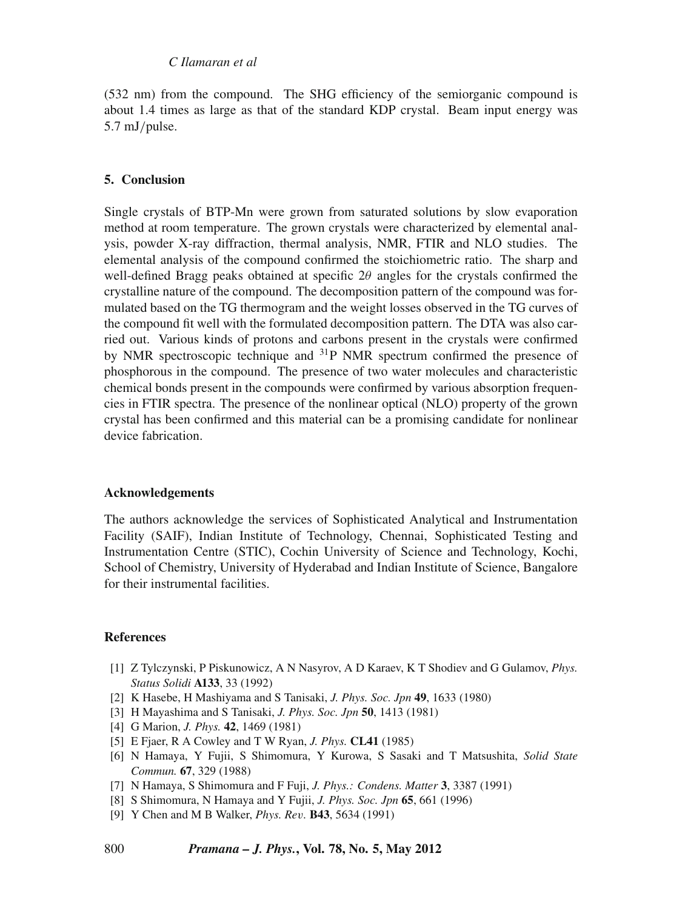(532 nm) from the compound. The SHG efficiency of the semiorganic compound is about 1.4 times as large as that of the standard KDP crystal. Beam input energy was 5.7 mJ/pulse.

### **5. Conclusion**

Single crystals of BTP-Mn were grown from saturated solutions by slow evaporation method at room temperature. The grown crystals were characterized by elemental analysis, powder X-ray diffraction, thermal analysis, NMR, FTIR and NLO studies. The elemental analysis of the compound confirmed the stoichiometric ratio. The sharp and well-defined Bragg peaks obtained at specific  $2\theta$  angles for the crystals confirmed the crystalline nature of the compound. The decomposition pattern of the compound was formulated based on the TG thermogram and the weight losses observed in the TG curves of the compound fit well with the formulated decomposition pattern. The DTA was also carried out. Various kinds of protons and carbons present in the crystals were confirmed by NMR spectroscopic technique and <sup>31</sup>P NMR spectrum confirmed the presence of phosphorous in the compound. The presence of two water molecules and characteristic chemical bonds present in the compounds were confirmed by various absorption frequencies in FTIR spectra. The presence of the nonlinear optical (NLO) property of the grown crystal has been confirmed and this material can be a promising candidate for nonlinear device fabrication.

# **Acknowledgements**

The authors acknowledge the services of Sophisticated Analytical and Instrumentation Facility (SAIF), Indian Institute of Technology, Chennai, Sophisticated Testing and Instrumentation Centre (STIC), Cochin University of Science and Technology, Kochi, School of Chemistry, University of Hyderabad and Indian Institute of Science, Bangalore for their instrumental facilities.

#### **References**

- [1] Z Tylczynski, P Piskunowicz, A N Nasyrov, A D Karaev, K T Shodiev and G Gulamov, *Phys. Status Solidi* **A133**, 33 (1992)
- [2] K Hasebe, H Mashiyama and S Tanisaki, *J. Phys. Soc. Jpn* **49**, 1633 (1980)
- [3] H Mayashima and S Tanisaki, *J. Phys. Soc. Jpn* **50**, 1413 (1981)
- [4] G Marion, *J. Phys.* **42**, 1469 (1981)
- [5] E Fjaer, R A Cowley and T W Ryan, *J. Phys.* **CL41** (1985)
- [6] N Hamaya, Y Fujii, S Shimomura, Y Kurowa, S Sasaki and T Matsushita, *Solid State Commun.* **67**, 329 (1988)
- [7] N Hamaya, S Shimomura and F Fuji, *J. Phys.: Condens. Matter* **3**, 3387 (1991)
- [8] S Shimomura, N Hamaya and Y Fujii, *J. Phys. Soc. Jpn* **65**, 661 (1996)
- [9] Y Chen and M B Walker, *Phys. Re*v*.* **B43**, 5634 (1991)